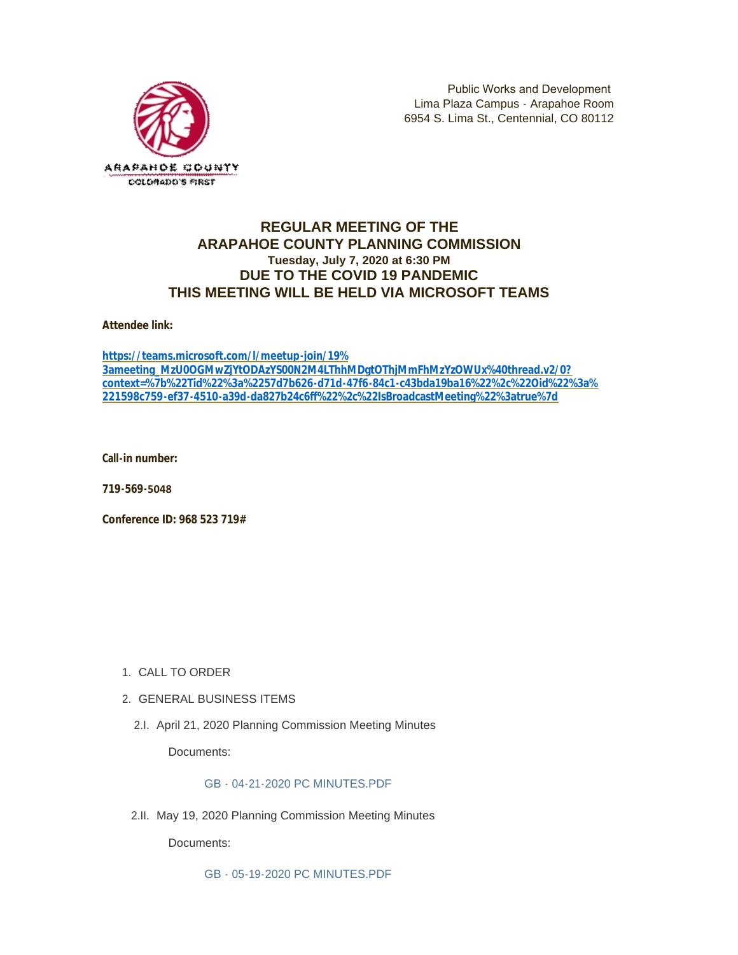

Public Works and Development Lima Plaza Campus - Arapahoe Room 6954 S. Lima St., Centennial, CO 80112

# **REGULAR MEETING OF THE ARAPAHOE COUNTY PLANNING COMMISSION Tuesday, July 7, 2020 at 6:30 PM DUE TO THE COVID 19 PANDEMIC THIS MEETING WILL BE HELD VIA MICROSOFT TEAMS**

**Attendee link:** 

**https://teams.microsoft.com/l/meetup-join/19% 3ameeting\_MzU0OGMwZjYtODAzYS00N2M4LThhMDgtOThjMmFhMzYzOWUx%40thread.v2/0? [context=%7b%22Tid%22%3a%2257d7b626-d71d-47f6-84c1-c43bda19ba16%22%2c%22Oid%22%3a%](https://teams.microsoft.com/l/meetup-join/19%3ameeting_MzU0OGMwZjYtODAzYS00N2M4LThhMDgtOThjMmFhMzYzOWUx%40thread.v2/0?context=%7b%22Tid%22%3a%2257d7b626-d71d-47f6-84c1-c43bda19ba16%22%2c%22Oid%22%3a%221598c759-ef37-4510-a39d-da827b24c6ff%22%2c%22IsBroadcastMeeting%22%3atrue%7d) 221598c759-ef37-4510-a39d-da827b24c6ff%22%2c%22IsBroadcastMeeting%22%3atrue%7d**

**Call-in number:** 

**719-569-5048** 

**Conference ID: 968 523 719#**

- 1. CALL TO ORDER
- GENERAL BUSINESS ITEMS 2.
	- 2.I. April 21, 2020 Planning Commission Meeting Minutes

Documents:

# [GB - 04-21-2020 PC MINUTES.PDF](https://www.arapahoegov.com/AgendaCenter/ViewFile/Item/12876?fileID=21922)

2.II. May 19, 2020 Planning Commission Meeting Minutes

Documents:

[GB - 05-19-2020 PC MINUTES.PDF](https://www.arapahoegov.com/AgendaCenter/ViewFile/Item/12877?fileID=21923)